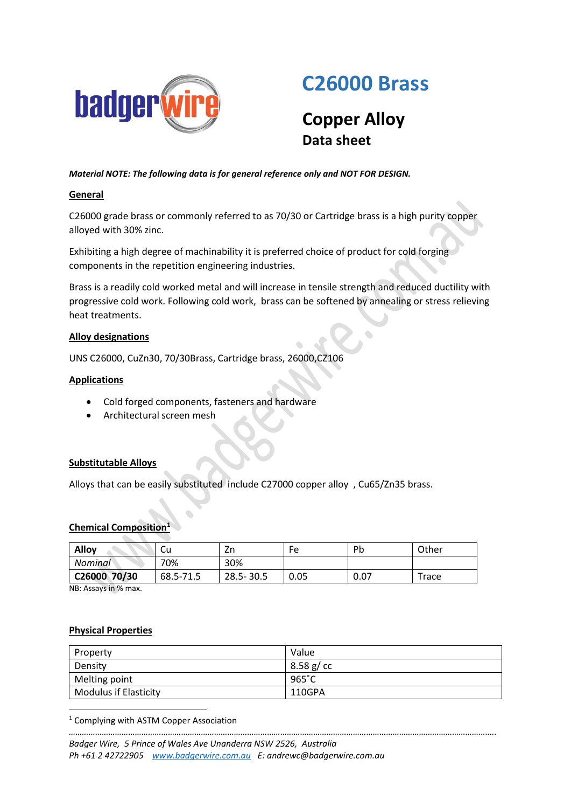

# **C26000 Brass**

# **Copper Alloy Data sheet**

# *Material NOTE: The following data is for general reference only and NOT FOR DESIGN.*

# **General**

C26000 grade brass or commonly referred to as 70/30 or Cartridge brass is a high purity copper alloyed with 30% zinc.

Exhibiting a high degree of machinability it is preferred choice of product for cold forging components in the repetition engineering industries.

Brass is a readily cold worked metal and will increase in tensile strength and reduced ductility with progressive cold work. Following cold work, brass can be softened by annealing or stress relieving heat treatments.

# **Alloy designations**

UNS C26000, CuZn30, 70/30Brass, Cartridge brass, 26000,CZ106

# **Applications**

- Cold forged components, fasteners and hardware
- Architectural screen mesh

#### **Substitutable Alloys**

Alloys that can be easily substituted include C27000 copper alloy , Cu65/Zn35 brass.

#### **Chemical Composition**

| <b>Alloy</b> | .Cu       | Zn            | Fe   | Pb   | Other |
|--------------|-----------|---------------|------|------|-------|
| Nominal      | 70%       | 30%           |      |      |       |
| C26000 70/30 | 68.5-71.5 | $28.5 - 30.5$ | 0.05 | 0.07 | Trace |

NB: Assays in % max.

#### **Physical Properties**

**.** 

| Property                     | Value     |
|------------------------------|-----------|
| Density                      | 8.58 g/cc |
| Melting point                | 965°C     |
| <b>Modulus if Elasticity</b> | 110GPA    |

*…………………………………………………………………………………………………………………………………………………………………………..*

<sup>1</sup> Complying with ASTM Copper Association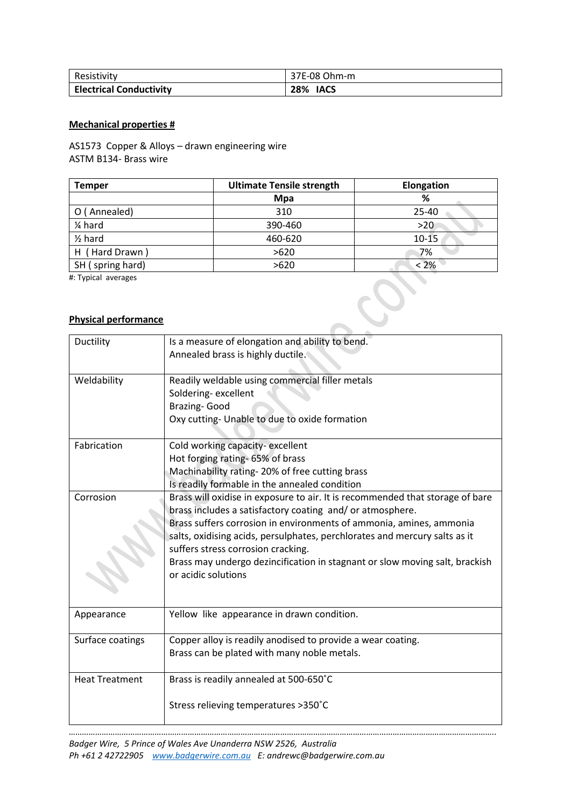| Resistivity                    | 37E-08 Ohm-m |
|--------------------------------|--------------|
| <b>Electrical Conductivity</b> | 28%<br>IACS  |

### **Mechanical properties #**

AS1573 Copper & Alloys – drawn engineering wire ASTM B134- Brass wire

| <b>Temper</b>      | <b>Ultimate Tensile strength</b> | Elongation |  |
|--------------------|----------------------------------|------------|--|
|                    | <b>Mpa</b>                       | %          |  |
| O (Annealed)       | 310                              | $25 - 40$  |  |
| 1⁄4 hard           | 390-460                          | >20        |  |
| $\frac{1}{2}$ hard | 460-620                          | $10 - 15$  |  |
| H (Hard Drawn)     | >620                             | 7%         |  |
| SH (spring hard)   | >620                             | < 2%       |  |

#: Typical averages

# **Physical performance**

| Ductility             | Is a measure of elongation and ability to bend.<br>Annealed brass is highly ductile.                                                                                                                                                                                                                                                                                                                                                        |
|-----------------------|---------------------------------------------------------------------------------------------------------------------------------------------------------------------------------------------------------------------------------------------------------------------------------------------------------------------------------------------------------------------------------------------------------------------------------------------|
| Weldability           | Readily weldable using commercial filler metals<br>Soldering-excellent<br>Brazing-Good<br>Oxy cutting- Unable to due to oxide formation                                                                                                                                                                                                                                                                                                     |
| Fabrication           | Cold working capacity-excellent<br>Hot forging rating-65% of brass<br>Machinability rating-20% of free cutting brass<br>Is readily formable in the annealed condition                                                                                                                                                                                                                                                                       |
| Corrosion             | Brass will oxidise in exposure to air. It is recommended that storage of bare<br>brass includes a satisfactory coating and/ or atmosphere.<br>Brass suffers corrosion in environments of ammonia, amines, ammonia<br>salts, oxidising acids, persulphates, perchlorates and mercury salts as it<br>suffers stress corrosion cracking.<br>Brass may undergo dezincification in stagnant or slow moving salt, brackish<br>or acidic solutions |
| Appearance            | Yellow like appearance in drawn condition.                                                                                                                                                                                                                                                                                                                                                                                                  |
| Surface coatings      | Copper alloy is readily anodised to provide a wear coating.<br>Brass can be plated with many noble metals.                                                                                                                                                                                                                                                                                                                                  |
| <b>Heat Treatment</b> | Brass is readily annealed at 500-650°C<br>Stress relieving temperatures >350°C                                                                                                                                                                                                                                                                                                                                                              |

*…………………………………………………………………………………………………………………………………………………………………………..*